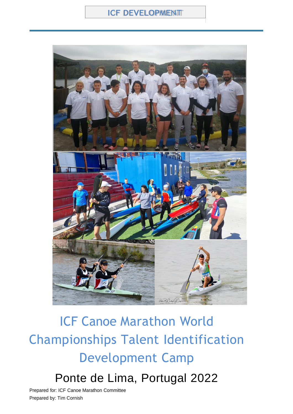# **ICF DEVELOPMENT**



# ICF Canoe Marathon World Championships Talent Identification Development Camp

Ponte de Lima, Portugal 2022

Prepared for: ICF Canoe Marathon Committee Prepared by: Tim Cornish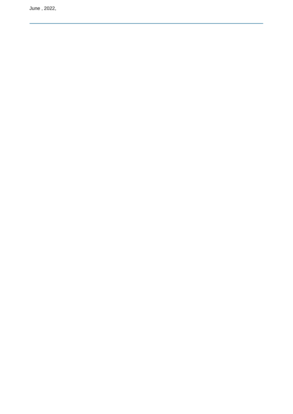June , 2022,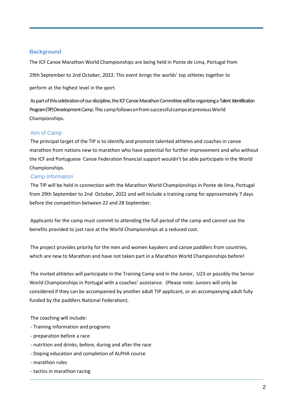# **Background**

The ICF Canoe Marathon World Championships are being held in Ponte de Lima, Portugal from

29th September to 2nd October, 2022. This event brings the worlds' top athletes together to

perform at the highest level in the sport.

As part of this celebration of our discipline, the ICF Canoe Marathon Committee will be organizing a Talent Identification Program (TIP) Development Camp. This camp follows on from successful camps at previous World Championships.

# Aim of Camp

The principal target of the TIP is to identify and promote talented athletes and coaches in canoe marathon from nations new to marathon who have potential for further improvement and who without the ICF and Portuguese Canoe Federation financial support wouldn't be able participate in the World Championships.

# Camp Information

The TIP will be held in connection with the Marathon World Championships in Ponte de lima, Portugal from 29th September to 2nd October, 2022 and will include a training camp for approximately 7 days before the competition between 22 and 28 September.

Applicants for the camp must commit to attending the full period of the camp and cannot use the benefits provided to just race at the World Championships at a reduced cost.

The project provides priority for the men and women kayakers and canoe paddlers from countries, which are new to Marathon and have not taken part in a Marathon World Championships before!

The invited athletes will participate in the Training Camp and in the Junior, U23 or possibly the Senior World Championships in Portugal with a coaches' assistance. (Please note: Juniors will only be considered if they can be accompanied by another adult TIP applicant, or an accompanying adult fully funded by the paddlers National Federation).

The coaching will include:

- Training information and programs
- preparation before a race
- nutrition and drinks, before, during and after the race
- Doping education and completion of ALPHA course
- marathon rules
- tactics in marathon racing